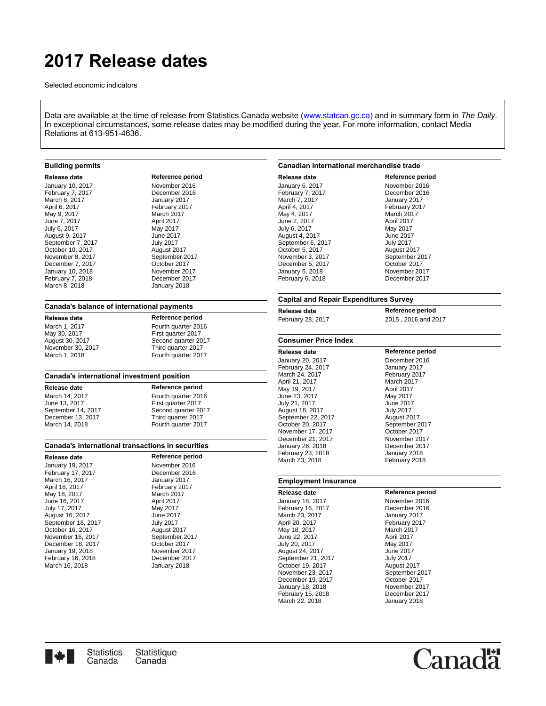# **2017 Release dates**

Selected economic indicators

Data are available at the time of release from Statistics Canada website([www.statcan.gc.ca](http://www.statcan.gc.ca/start-debut-eng.html)) and in summary form in *The Daily*. In exceptional circumstances, some release dates may be modified during the year. For more information, contact Media Relations at 613-951-4636.

## **Building permits**

| <b>Release date</b> |
|---------------------|
| January 10, 2017    |
| February 7, 2017    |
| March 8. 2017       |
| April 6, 2017       |
| May 9, 2017         |
| June 7, 2017        |
| July 6, 2017        |
| August 9, 2017      |
| September 7, 2017   |
| October 10, 2017    |
| November 8, 2017    |
| December 7, 2017    |
| January 10, 2018    |
| February 7, 2018    |
| March 8, 2018       |

**Reference period** November 2016 December 2016 January 2017 February 2017 March 2017 April 2017 May 2017 June 2017 **July 2017** August 2017 September 2017 October 2017 November 2017 December 2017 January 2018

### **Canada's balance of international payments**

May 30, 2017 First quarter 2017<br>August 30, 2017 **First quarter 2017** November 30, 2017<br>March 1, 2018

**Release date Reference period** March 1, 2017 Fourth quarter 2016<br>May 30, 2017 First quarter 2017 Second quarter 2017<br>Third quarter 2017 Fourth quarter 2017

#### **Canada's international investment position**

September 14, 2017<br>December 13, 2017 December 13, 2017 Third quarter 2017<br>March 14, 2018 Fourth quarter 201

**Release date Reference period**<br> **March 14, 2017 Routh quarter 201** March 14, 2017 Fourth quarter 2016<br>June 13, 2017 First quarter 2017 First quarter 2017<br>Second quarter 2017 Fourth quarter 2017

#### **Canada's international transactions in securities**

**Release date Reference period** January 19, 2017<br>
February 17, 2017 **November 2016** February 17, 2017 December 2016 March 16, 2017<br>April 18, 2017 May 18, 2017 March 2017 June 16, 2017<br>
July 17, 2017<br>
May 2017 July 17, 2017 May 2017 August 16, 2017<br>
September 18, 2017<br>
July 2017 September 18, 2017 July 2017 October 16, 2017<br>November 16, 2017 **August 2017**<br>September 2017 November 16, 2017 September 20<br>December 18, 2017 October 2017 December 18, 2017 October 2017 January 19, 2018<br>
February 16, 2018 **November 2017** February 16, 2018<br>March 16, 2018 **December 2018** March 16, 2018

February 2017<br>March 2017

#### **Canadian international merchandise trade**

| Release date      | Reference period |
|-------------------|------------------|
| January 6, 2017   | November 2016    |
| February 7, 2017  | December 2016    |
| March 7, 2017     | January 2017     |
| April 4, 2017     | February 2017    |
| May 4, 2017       | March 2017       |
| June 2, 2017      | April 2017       |
| July 6, 2017      | May 2017         |
| August 4, 2017    | June 2017        |
| September 6, 2017 | <b>July 2017</b> |
| October 5, 2017   | August 2017      |
| November 3, 2017  | September 2017   |
| December 5, 2017  | October 2017     |
| January 5, 2018   | November 2017    |
| February 6, 2018  | December 2017    |

#### **Capital and Repair Expenditures Survey**

| Release date                | Reference period    |
|-----------------------------|---------------------|
| February 28, 2017           | 2015, 2016 and 2017 |
| <b>Consumer Price Index</b> |                     |
| Release date                | Reference period    |
| January 20, 2017            | December 2016       |
| <b>February 24, 2017</b>    | January 2017        |
| March 24, 2017              | February 2017       |
| April 21, 2017              | March 2017          |
| May 19, 2017                | April 2017          |
| June 23, 2017               | May 2017            |
| July 21, 2017               | June 2017           |
| August 18, 2017             | July 2017           |
| September 22, 2017          | August 2017         |
| October 20, 2017            | September 2017      |
| November 17, 2017           | October 2017        |
| December 21, 2017           | November 2017       |
| January 26, 2018            | December 2017       |
| February 23, 2018           | January 2018        |
| March 23, 2018              | February 2018       |

#### **Employment Insurance**

**Release date Reference period** January 18, 2017 November 2016 February 16, 2017<br>March 23, 2017 **December 2017** March 23, 2017<br>April 20, 2017 May 18, 2017 March 2017 June 22, 2017<br>
July 20, 2017<br>
May 2017 July 20, 2017 May 2017 August 24, 2017<br>
September 21, 2017<br>
July 2017 September 21, 2017 July 2017 October 19, 2017<br>November 23, 2017 December 19, 2017 October 2017 January 18, 2018 November 2017 February 15, 2018 December 2017 March 22, 2018 January 2018

February 2017<br>March 2017 September 2017<br>October 2017



'ana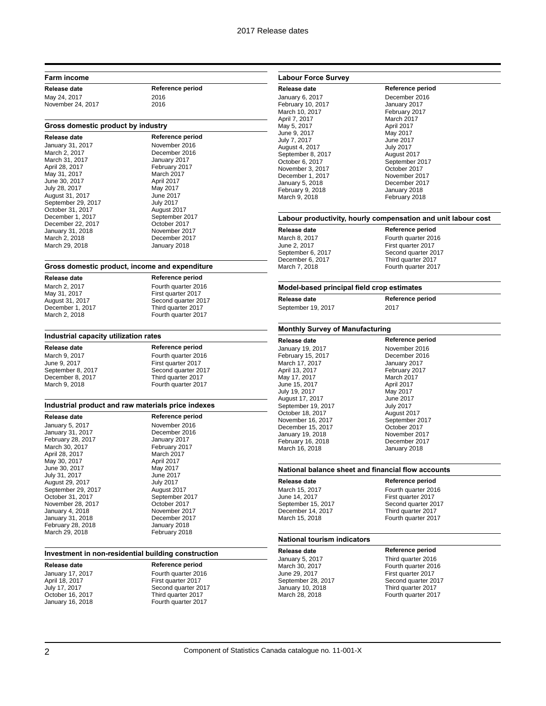### **Farm income**

May 24, 2017 2016 November 24, 2017 2016

**Release date Reference period**

#### **Gross domestic product by industry**

| Release date       | Reference period |
|--------------------|------------------|
| January 31, 2017   | November 2016    |
| March 2, 2017      | December 2016    |
| March 31, 2017     | January 2017     |
| April 28, 2017     | February 2017    |
| May 31, 2017       | March 2017       |
| June 30, 2017      | April 2017       |
| July 28, 2017      | May 2017         |
| August 31, 2017    | June 2017        |
| September 29, 2017 | <b>July 2017</b> |
| October 31, 2017   | August 2017      |
| December 1, 2017   | September 2017   |
| December 22, 2017  | October 2017     |
| January 31, 2018   | November 2017    |
| March 2, 2018      | December 2017    |
| March 29, 2018     | January 2018     |

#### **Gross domestic product, income and expenditure**

**Release date Reference period** May 31, 2017 First quarter 2017<br>August 31, 2017 First quarter 2017

March 2, 2017 Fourth quarter 2016<br>May 31, 2017 First quarter 2017 August 31, 2017 Second quarter 2017<br>
December 1, 2017 Third quarter 2017 December 1, 2017 Third quarter 2017<br>March 2, 2018 Fourth quarter 201 Fourth quarter 2017

Second quarter 2017

Fourth quarter 2017

#### **Industrial capacity utilization rates**

**Release date Reference period** March 9, 2017 Fourth quarter 2016<br>June 9, 2017 First quarter 2017 June 9, 2017 First quarter 2017<br>September 8. 2017 Second quarter 20 December 8, 2017 Third quarter 2017<br>March 9, 2018 Fourth quarter 201

# **Industrial product and raw materials price indexes**

**Release date Reference period** January 5, 2017 November 2016 January 31, 2017<br>
February 28, 2017 January 2017 February 28, 2017 January 2017 March 30, 2017 February 20<br>
April 28, 2017 March 2017 April 28, 2017 March 2017 May 30, 2017 June 30, 2017 May 2017 July 31, 2017 June 2017 August 29, 2017<br>
September 29, 2017<br>
August 2017 September 29, 2017<br>
October 31, 2017<br>
September 2017 October 31, 2017<br>
November 28, 2017<br>
October 2017 November 28, 2017 January 4, 2018 November 2017 January 31, 2018<br>Tebruary 28, 2018 **December 2018** February 28, 2018 March 29, 2018 February 2018

# **Investment in non-residential building construction**

**Release date Reference period** April 18, 2017 First quarter 2017<br>
July 17, 2017 Second quarter 20 October 16, 2017 Third quarter 2017<br>January 16, 2018 Tourth quarter 201

January 17, 2017 Fourth quarter 2016 July 17, 2017 Second quarter 2017 Fourth quarter 2017

## **Labour Force Survey**

**Release date Reference period** January 6, 2017 December 2016 February 10, 2017 January 2017 March 10, 2017 **February 2017** April 7, 2017 March 2017 May 5, 2017 **April 2017** June 9, 2017 May 2017 July 7, 2017 August 4, 2017 July 2017 September 8, 2017<br>October 6, 2017 November 3, 2017<br>
December 1, 2017<br>
November 2017 December 1, 2017 November 2017 January 5, 2018 December 2017 February 9, 2018<br>March 9, 2018

#### **Labour productivity, hourly compensation and unit labour cost**

**Release date Reference period** September 6, 2017<br>December 6, 2017

March 8, 2017 **Fourth quarter 2016**<br>
June 2, 2017 **First quarter 2017** First quarter 2017<br>Second quarter 2017 December 6, 2017 Third quarter 2017<br>March 7, 2018 Third Tourth quarter 2017 Fourth quarter 2017

September 2017

February 2018

#### **Model-based principal field crop estimates**

**Release date Reference period**

September 19, 2017 2017

#### **Monthly Survey of Manufacturing**

**Release date Reference period** January 19, 2017 November 2016 February 15, 2017 December 2016 March 17, 2017<br>April 13, 2017 May 17, 2017 March 2017 June 15, 2017 April 2017 July 19, 2017 August 17, 2017 June 2017 September 19, 2017 July 2017 October 18, 2017 November 16, 2017 September 2017 December 15, 2017 October 2017 January 19, 2018 February 16, 2018 December 2017 March 16, 2018 January 2018

February 2017

### **National balance sheet and financial flow accounts**

**Release date Reference period** December 14, 2017 Third quarter 2017

March 15, 2017 **Fourth quarter 2016**<br>
June 14, 2017 **First quarter 2017** June 14, 2017<br>
September 15, 2017<br>
Second quarter 20 Second quarter 2017 Fourth quarter 2017

### **National tourism indicators**

**Release date Reference period** January 5, 2017 Third quarter 2016 January 10, 2018 Third quarter 2017

March 30, 2017 **Fourth quarter 2016**<br>
June 29, 2017 **First quarter 2017** First quarter 2017 September 28, 2017 Second quarter 2017<br>January 10, 2018 **Second Guarter 2017** Fourth quarter 2017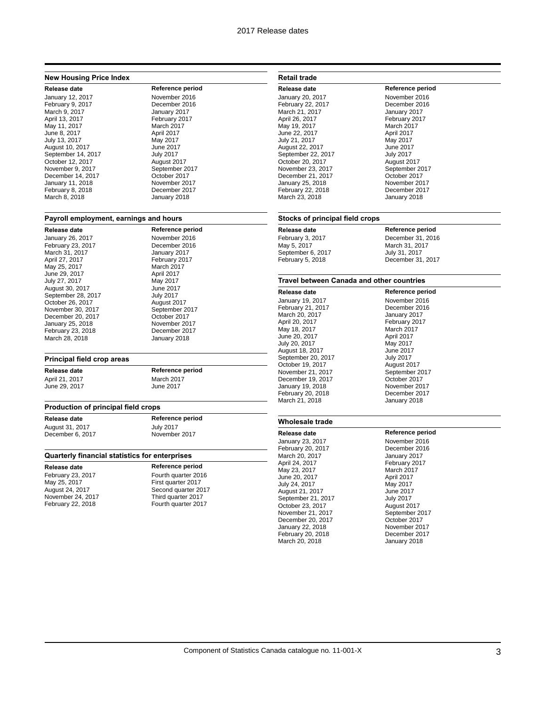## **New Housing Price Index**

#### January 12, 2017 February 9, 2017 December 2016 March 9, 2017 January 2017 April 13, 2017 February 2017 May 11, 2017 March 2017 June 8, 2017<br>
July 13, 2017<br>
May 2017 July 13, 2017 August 10, 2017 June 2017 September 14, 2017 July 2017 October 12, 2017<br>November 9, 2017 **August 2017**<br>September 2017 November 9, 2017 September 20<br>December 14, 2017 Cotober 2017 December 14, 2017<br>
January 11, 2018<br>
November 2017 January 11, 2018<br>
February 8, 2018 **November 2017** February 8, 2018 December 2017 March 8, 2018

**Release date Reference period**<br> **Anuary 12. 2017 Reference period**<br> **Reference 2016** 

#### **Payroll employment, earnings and hours**

**Release date Reference period** January 26, 2017<br>
February 23, 2017 **November 2016** February 23, 2017<br>March 31, 2017 April 27, 2017<br>
May 25, 2017<br>
June 29, 2017<br>
March 2017<br>
April 2017 June 29, 2017 July 27, 2017 May 2017 August 30, 2017<br>
September 28, 2017<br>
July 2017 September 28, 2017 October 26, 2017<br>
November 30, 2017<br>
September 2017 November 30, 2017<br>
December 20, 2017<br>
October 2017 December 20, 2017 January 25, 2018 November 2017 February 23, 2018<br>March 28, 2018 **December 2018** 

January 2017 February 2017<br>March 2017 January 2018

#### **Principal field crop areas**

**Release date Reference period** June 29, 2017

# April 21, 2017<br>
June 29, 2017<br>
Uune 2017

#### **Production of principal field crops**

August 31, 2017<br>
December 6, 2017<br>
December 6, 2017 December 6, 2017

**Release date Reference period**<br> **August 31, 2017 CONS** 

#### **Quarterly financial statistics for enterprises**

**Release date Reference period** February 23, 2017<br>May 25, 2017 First quarter 2017 May 25, 2017 First quarter 2017<br>August 24, 2017 First quarter 20 November 24, 2017<br>February 22, 2018

# Second quarter 2017<br>Third quarter 2017 Fourth quarter 2017

## **Retail trade**

**Release date Reference period**<br>
January 20. 2017 **Movember 2016** January 20, 2017 February 22, 2017 December 2016 March 21, 2017 January 2017 April 26, 2017 February 2017 May 19, 2017 March 2017 June 22, 2017 April 2017 July 21, 2017 August 22, 2017 June 2017 September 22, 2017 July 2017 October 20, 2017 November 23, 2017<br>
December 21, 2017<br>
October 2017 December 21, 2017 October 2017 January 25, 2018 November 2017 February 22, 2018 December 2017 March 23, 2018

#### **Stocks of principal field crops**

**Release date Reference period** February 3, 2017 **December 31, 2016**<br>May 5, 2017 **March 31, 2017** September 6, 2017 February 5, 2018 December 31, 2017

March 31, 2017<br>July 31, 2017

#### **Travel between Canada and other countries**

**Release date Reference period** January 19, 2017 November 2016 February 21, 2017 December 2016 March 20, 2017<br>April 20, 2017 May 18, 2017 March 2017 June 20, 2017<br>
July 20, 2017<br>
May 2017 July 20, 2017 August 18, 2017 June 2017 September 20, 2017<br>
October 19, 2017<br>
August 2017 October 19, 2017<br>
November 21, 2017<br>
September 2017 November 21, 2017 September 2017 December 19, 2017 October 2017 January 19, 2018 March 21, 2018

February 2017<br>March 2017 February 20, 2018 December 2017

## **Wholesale trade**

January 23, 2017 November 2016 February 20, 2017 December 2016 March 20, 2017 April 24, 2017 February 2017 May 23, 2017 March 2017 June 20, 2017<br>
July 24, 2017<br>
May 2017 July 24, 2017 May 2017 August 21, 2017<br>
September 21, 2017<br>
July 2017 September 21, 2017 July 2017 October 23, 2017<br>
November 21, 2017<br>
November 21, 2017 November 21, 2017<br>
December 20, 2017<br>
October 2017 December 20, 2017 January 22, 2018 November 2017 February 20, 2018<br>March 20, 2018 **December 2018** March 20, 2018

**Release date Reference period**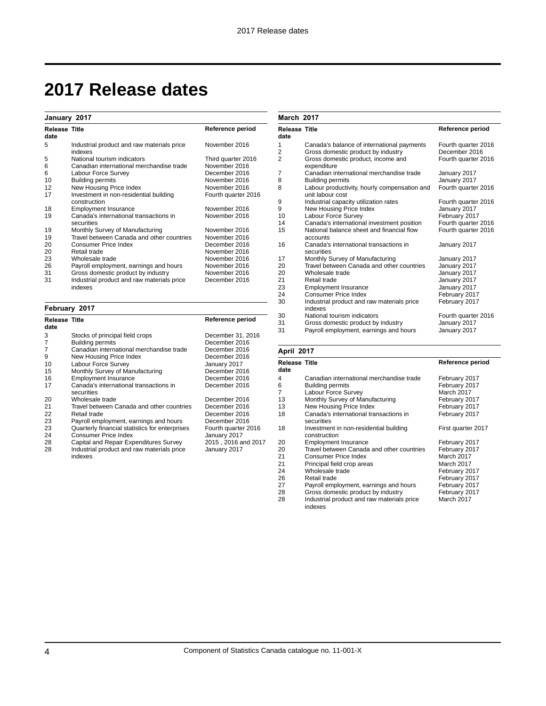**March 2017**

# **2017 Release dates**

## **January 2017**

| <b>Release Title</b><br>date |                                                        | Reference period    |
|------------------------------|--------------------------------------------------------|---------------------|
| 5                            | Industrial product and raw materials price<br>indexes  | November 2016       |
| 5                            | National tourism indicators                            | Third quarter 2016  |
| 6                            | Canadian international merchandise trade               | November 2016       |
| 6                            | Labour Force Survey                                    | December 2016       |
| 10                           | <b>Building permits</b>                                | November 2016       |
| 12                           | New Housing Price Index                                | November 2016       |
| 17                           | Investment in non-residential building<br>construction | Fourth quarter 2016 |
| 18                           | <b>Employment Insurance</b>                            | November 2016       |
| 19                           | Canada's international transactions in<br>securities   | November 2016       |
| 19                           | Monthly Survey of Manufacturing                        | November 2016       |
| 19                           | Travel between Canada and other countries              | November 2016       |
| 20                           | Consumer Price Index                                   | December 2016       |
| 20                           | Retail trade                                           | November 2016       |
| 23                           | Wholesale trade                                        | November 2016       |
| 26                           | Payroll employment, earnings and hours                 | November 2016       |
| 31                           | Gross domestic product by industry                     | November 2016       |
| 31                           | Industrial product and raw materials price<br>indexes  | December 2016       |

# **February 2017**

| <b>Release Title</b><br>date |                                                       | Reference period    |
|------------------------------|-------------------------------------------------------|---------------------|
| 3                            | Stocks of principal field crops                       | December 31, 2016   |
| 7                            | <b>Building permits</b>                               | December 2016       |
| 7                            | Canadian international merchandise trade              | December 2016       |
| 9                            | New Housing Price Index                               | December 2016       |
| 10                           | Labour Force Survey                                   | January 2017        |
| 15                           | Monthly Survey of Manufacturing                       | December 2016       |
| 16                           | <b>Employment Insurance</b>                           | December 2016       |
| 17                           | Canada's international transactions in<br>securities  | December 2016       |
| 20                           | Wholesale trade                                       | December 2016       |
| 21                           | Travel between Canada and other countries             | December 2016       |
| 22                           | Retail trade                                          | December 2016       |
| 23                           | Payroll employment, earnings and hours                | December 2016       |
| 23                           | Quarterly financial statistics for enterprises        | Fourth quarter 2016 |
| 24                           | Consumer Price Index                                  | January 2017        |
| 28                           | Capital and Repair Expenditures Survey                | 2015, 2016 and 2017 |
| 28                           | Industrial product and raw materials price<br>indexes | January 2017        |

| <b>Release Title</b><br>date |                                                                  | Reference period    |
|------------------------------|------------------------------------------------------------------|---------------------|
| 1                            | Canada's balance of international payments                       | Fourth quarter 2016 |
| 2                            | Gross domestic product by industry                               | December 2016       |
| $\overline{2}$               | Gross domestic product, income and<br>expenditure                | Fourth quarter 2016 |
| 7                            | Canadian international merchandise trade                         | January 2017        |
| 8                            | <b>Building permits</b>                                          | January 2017        |
| 8                            | Labour productivity, hourly compensation and<br>unit labour cost | Fourth quarter 2016 |
| 9                            | Industrial capacity utilization rates                            | Fourth quarter 2016 |
| 9                            | New Housing Price Index                                          | January 2017        |
| 10                           | Labour Force Survey                                              | February 2017       |
| 14                           | Canada's international investment position                       | Fourth quarter 2016 |
| 15                           | National balance sheet and financial flow<br>accounts            | Fourth quarter 2016 |
| 16                           | Canada's international transactions in<br>securities             | January 2017        |
| 17                           | Monthly Survey of Manufacturing                                  | January 2017        |
| 20                           | Travel between Canada and other countries                        | January 2017        |
| 20                           | Wholesale trade                                                  | January 2017        |
| 21                           | Retail trade                                                     | January 2017        |
| 23                           | <b>Employment Insurance</b>                                      | January 2017        |
| 24                           | Consumer Price Index                                             | February 2017       |
| 30                           | Industrial product and raw materials price<br>indexes            | February 2017       |
| 30                           | National tourism indicators                                      | Fourth quarter 2016 |
| 31                           | Gross domestic product by industry                               | January 2017        |
| 31                           | Payroll employment, earnings and hours                           | January 2017        |

## **April 2017**

| Release Title<br>date |                                                        | Reference period   |
|-----------------------|--------------------------------------------------------|--------------------|
| 4                     | Canadian international merchandise trade               | February 2017      |
| 6                     | <b>Building permits</b>                                | February 2017      |
| 7                     | Labour Force Survey                                    | March 2017         |
| 13                    | Monthly Survey of Manufacturing                        | February 2017      |
| 13                    | New Housing Price Index                                | February 2017      |
| 18                    | Canada's international transactions in<br>securities   | February 2017      |
| 18                    | Investment in non-residential building<br>construction | First quarter 2017 |
| 20                    | <b>Employment Insurance</b>                            | February 2017      |
| 20                    | Travel between Canada and other countries              | February 2017      |
| 21                    | <b>Consumer Price Index</b>                            | March 2017         |
| 21                    | Principal field crop areas                             | March 2017         |
| 24                    | Wholesale trade                                        | February 2017      |
| 26                    | Retail trade                                           | February 2017      |
| 27                    | Payroll employment, earnings and hours                 | February 2017      |
| 28                    | Gross domestic product by industry                     | February 2017      |
| 28                    | Industrial product and raw materials price<br>indexes  | March 2017         |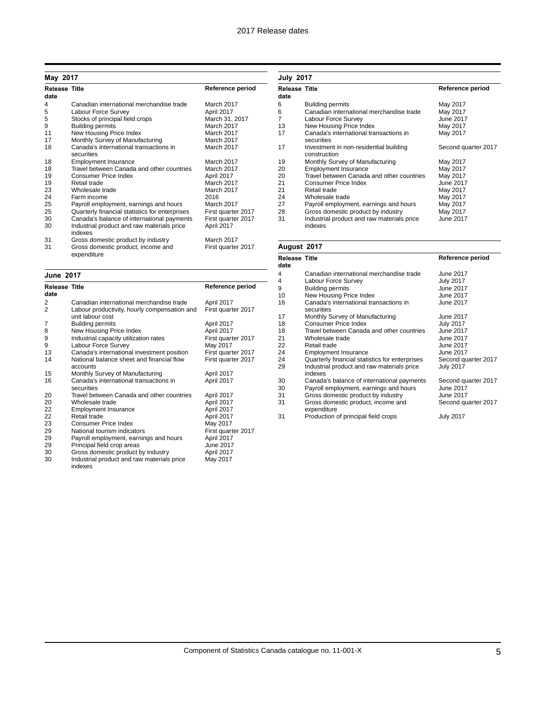| May 2017                     |                                                       |                    |
|------------------------------|-------------------------------------------------------|--------------------|
| <b>Release Title</b><br>date |                                                       | Reference period   |
| 4                            | Canadian international merchandise trade              | March 2017         |
| 5                            | Labour Force Survey                                   | April 2017         |
| 5                            | Stocks of principal field crops                       | March 31, 2017     |
| 9                            | <b>Building permits</b>                               | March 2017         |
| 11                           | New Housing Price Index                               | March 2017         |
| 17                           | Monthly Survey of Manufacturing                       | March 2017         |
| 18                           | Canada's international transactions in<br>securities  | March 2017         |
| 18                           | <b>Employment Insurance</b>                           | March 2017         |
| 18                           | Travel between Canada and other countries             | March 2017         |
| 19                           | Consumer Price Index                                  | April 2017         |
| 19                           | Retail trade                                          | March 2017         |
| 23                           | Wholesale trade                                       | March 2017         |
| 24                           | Farm income                                           | 2016               |
| 25                           | Payroll employment, earnings and hours                | March 2017         |
| 25                           | Quarterly financial statistics for enterprises        | First quarter 2017 |
| 30                           | Canada's balance of international payments            | First quarter 2017 |
| 30                           | Industrial product and raw materials price<br>indexes | April 2017         |
| 31                           | Gross domestic product by industry                    | March 2017         |
| 31                           | Gross domestic product, income and<br>expenditure     | First quarter 2017 |

| June 2017                    |                                                                  |                    |
|------------------------------|------------------------------------------------------------------|--------------------|
| <b>Release Title</b><br>date |                                                                  | Reference period   |
| 2                            | Canadian international merchandise trade                         | April 2017         |
| 2                            | Labour productivity, hourly compensation and<br>unit labour cost | First quarter 2017 |
| 7                            | <b>Building permits</b>                                          | April 2017         |
| 8                            | New Housing Price Index                                          | April 2017         |
| 9                            | Industrial capacity utilization rates                            | First quarter 2017 |
| 9                            | Labour Force Survey                                              | May 2017           |
| 13                           | Canada's international investment position                       | First quarter 2017 |
| 14                           | National balance sheet and financial flow<br>accounts            | First quarter 2017 |
| 15                           | Monthly Survey of Manufacturing                                  | April 2017         |
| 16                           | Canada's international transactions in<br>securities             | April 2017         |
| 20                           | Travel between Canada and other countries                        | April 2017         |
| 20                           | Wholesale trade                                                  | April 2017         |
| 22                           | <b>Employment Insurance</b>                                      | April 2017         |
| 22                           | Retail trade                                                     | April 2017         |
| 23                           | Consumer Price Index                                             | May 2017           |
| 29                           | National tourism indicators                                      | First quarter 2017 |
| 29                           | Payroll employment, earnings and hours                           | April 2017         |
| 29                           | Principal field crop areas                                       | <b>June 2017</b>   |
| 30                           | Gross domestic product by industry                               | April 2017         |
| 30                           | Industrial product and raw materials price<br>indexes            | May 2017           |

| <b>July 2017</b>             |                                                        |                     |
|------------------------------|--------------------------------------------------------|---------------------|
| <b>Release Title</b><br>date |                                                        | Reference period    |
| 6                            | <b>Building permits</b>                                | May 2017            |
| 6                            | Canadian international merchandise trade               | May 2017            |
| 7                            | Labour Force Survey                                    | June 2017           |
| 13                           | New Housing Price Index                                | May 2017            |
| 17                           | Canada's international transactions in<br>securities   | May 2017            |
| 17                           | Investment in non-residential building<br>construction | Second quarter 2017 |
| 19                           | Monthly Survey of Manufacturing                        | May 2017            |
| 20                           | <b>Employment Insurance</b>                            | May 2017            |
| 20                           | Travel between Canada and other countries              | May 2017            |
| 21                           | Consumer Price Index                                   | June 2017           |
| 21                           | Retail trade                                           | May 2017            |
| 24                           | Wholesale trade                                        | May 2017            |
| 27                           | Payroll employment, earnings and hours                 | May 2017            |
| 28                           | Gross domestic product by industry                     | May 2017            |
| 31                           | Industrial product and raw materials price<br>indexes  | June 2017           |

# **August 2017**

| Release Title<br>date |                                                       | Reference period    |
|-----------------------|-------------------------------------------------------|---------------------|
| 4                     | Canadian international merchandise trade              | June 2017           |
| 4                     | Labour Force Survey                                   | <b>July 2017</b>    |
| 9                     | <b>Building permits</b>                               | June 2017           |
| 10                    | New Housing Price Index                               | June 2017           |
| 16                    | Canada's international transactions in<br>securities  | June 2017           |
| 17                    | Monthly Survey of Manufacturing                       | June 2017           |
| 18                    | Consumer Price Index                                  | <b>July 2017</b>    |
| 18                    | Travel between Canada and other countries             | June 2017           |
| 21                    | Wholesale trade                                       | June 2017           |
| 22                    | Retail trade                                          | June 2017           |
| 24                    | <b>Employment Insurance</b>                           | June 2017           |
| 24                    | Quarterly financial statistics for enterprises        | Second quarter 2017 |
| 29                    | Industrial product and raw materials price<br>indexes | <b>July 2017</b>    |
| 30                    | Canada's balance of international payments            | Second quarter 2017 |
| 30                    | Payroll employment, earnings and hours                | June 2017           |
| 31                    | Gross domestic product by industry                    | June 2017           |
| 31                    | Gross domestic product, income and<br>expenditure     | Second quarter 2017 |
| 31                    | Production of principal field crops                   | <b>July 2017</b>    |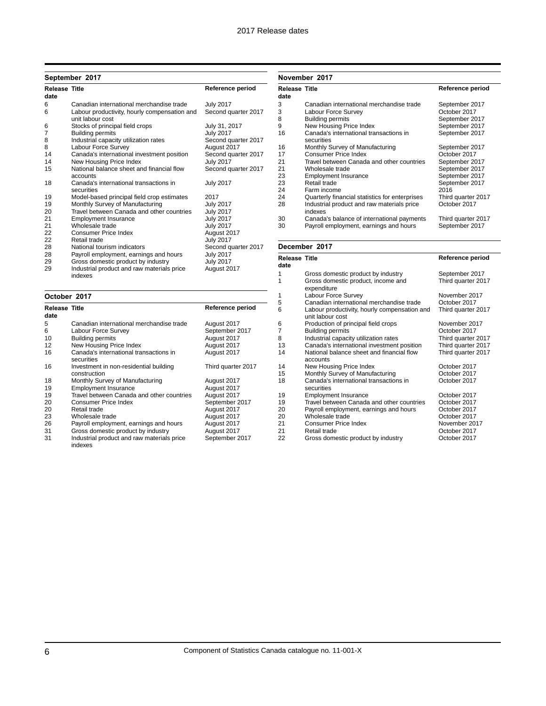# **September 2017**

| <b>Release Title</b><br>date |                                                                  | Reference period    |
|------------------------------|------------------------------------------------------------------|---------------------|
| 6                            | Canadian international merchandise trade                         | <b>July 2017</b>    |
| 6                            | Labour productivity, hourly compensation and<br>unit labour cost | Second quarter 2017 |
| 6                            | Stocks of principal field crops                                  | July 31, 2017       |
| 7                            | <b>Building permits</b>                                          | <b>July 2017</b>    |
| 8                            | Industrial capacity utilization rates                            | Second quarter 2017 |
| 8                            | Labour Force Survey                                              | August 2017         |
| 14                           | Canada's international investment position                       | Second quarter 2017 |
| 14                           | New Housing Price Index                                          | <b>July 2017</b>    |
| 15                           | National balance sheet and financial flow<br>accounts            | Second quarter 2017 |
| 18                           | Canada's international transactions in<br>securities             | <b>July 2017</b>    |
| 19                           | Model-based principal field crop estimates                       | 2017                |
| 19                           | Monthly Survey of Manufacturing                                  | <b>July 2017</b>    |
| 20                           | Travel between Canada and other countries                        | <b>July 2017</b>    |
| 21                           | <b>Employment Insurance</b>                                      | <b>July 2017</b>    |
| 21                           | Wholesale trade                                                  | <b>July 2017</b>    |
| 22                           | Consumer Price Index                                             | August 2017         |
| 22                           | Retail trade                                                     | <b>July 2017</b>    |
| 28                           | National tourism indicators                                      | Second quarter 2017 |
| 28                           | Payroll employment, earnings and hours                           | <b>July 2017</b>    |
| 29                           | Gross domestic product by industry                               | <b>July 2017</b>    |
| 29                           | Industrial product and raw materials price<br>indexes            | August 2017         |

| October 2017                 |                                                        |                    |
|------------------------------|--------------------------------------------------------|--------------------|
| <b>Release Title</b><br>date |                                                        | Reference period   |
| 5                            | Canadian international merchandise trade               | August 2017        |
| 6                            | Labour Force Survey                                    | September 2017     |
| 10                           | <b>Building permits</b>                                | August 2017        |
| 12                           | New Housing Price Index                                | August 2017        |
| 16                           | Canada's international transactions in<br>securities   | August 2017        |
| 16                           | Investment in non-residential building<br>construction | Third quarter 2017 |
| 18                           | Monthly Survey of Manufacturing                        | August 2017        |
| 19                           | <b>Employment Insurance</b>                            | August 2017        |
| 19                           | Travel between Canada and other countries              | August 2017        |
| 20                           | Consumer Price Index                                   | September 2017     |
| 20                           | Retail trade                                           | August 2017        |
| 23                           | Wholesale trade                                        | August 2017        |
| 26                           | Payroll employment, earnings and hours                 | August 2017        |
| 31                           | Gross domestic product by industry                     | August 2017        |
| 31                           | Industrial product and raw materials price<br>indexes  | September 2017     |

**November 2017**

| Release Title |                                                       | Reference period   |
|---------------|-------------------------------------------------------|--------------------|
| date          |                                                       |                    |
| 3             | Canadian international merchandise trade              | September 2017     |
| 3             | Labour Force Survey                                   | October 2017       |
| 8             | <b>Building permits</b>                               | September 2017     |
| 9             | New Housing Price Index                               | September 2017     |
| 16            | Canada's international transactions in<br>securities  | September 2017     |
| 16            | Monthly Survey of Manufacturing                       | September 2017     |
| 17            | Consumer Price Index                                  | October 2017       |
| 21            | Travel between Canada and other countries             | September 2017     |
| 21            | Wholesale trade                                       | September 2017     |
| 23            | <b>Employment Insurance</b>                           | September 2017     |
| 23            | Retail trade                                          | September 2017     |
| 24            | Farm income                                           | 2016               |
| 24            | Quarterly financial statistics for enterprises        | Third quarter 2017 |
| 28            | Industrial product and raw materials price<br>indexes | October 2017       |
| 30            | Canada's balance of international payments            | Third quarter 2017 |
| 30            | Payroll employment, earnings and hours                | September 2017     |

## **December 2017**

| <b>Release Title</b><br>date |                                                                  | Reference period   |
|------------------------------|------------------------------------------------------------------|--------------------|
| 1                            | Gross domestic product by industry                               | September 2017     |
| 1                            | Gross domestic product, income and<br>expenditure                | Third quarter 2017 |
| 1                            | Labour Force Survey                                              | November 2017      |
| 5                            | Canadian international merchandise trade                         | October 2017       |
| 6                            | Labour productivity, hourly compensation and<br>unit labour cost | Third quarter 2017 |
| 6                            | Production of principal field crops                              | November 2017      |
| 7                            | <b>Building permits</b>                                          | October 2017       |
| 8                            | Industrial capacity utilization rates                            | Third quarter 2017 |
| 13                           | Canada's international investment position                       | Third quarter 2017 |
| 14                           | National balance sheet and financial flow<br>accounts            | Third quarter 2017 |
| 14                           | New Housing Price Index                                          | October 2017       |
| 15                           | Monthly Survey of Manufacturing                                  | October 2017       |
| 18                           | Canada's international transactions in<br>securities             | October 2017       |
| 19                           | <b>Employment Insurance</b>                                      | October 2017       |
| 19                           | Travel between Canada and other countries                        | October 2017       |
| 20                           | Payroll employment, earnings and hours                           | October 2017       |
| 20                           | Wholesale trade                                                  | October 2017       |
| 21                           | <b>Consumer Price Index</b>                                      | November 2017      |
| 21                           | Retail trade                                                     | October 2017       |
| 22                           | Gross domestic product by industry                               | October 2017       |